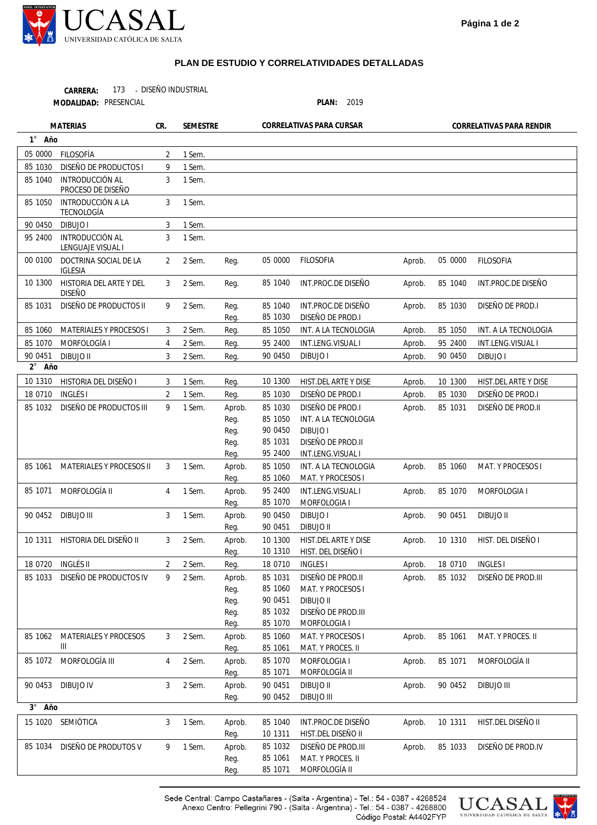

## **PLAN DE ESTUDIO Y CORRELATIVIDADES DETALLADAS**

173 - DISEÑO INDUSTRIAL **CARRERA:**

PRESENCIAL **PLAN:** 2019 **MODALIDAD:**

**1** ° **2 Año** ° **3** ° **Año Año** Aprob. Aprob. Aprob. Aprob. Aprob. Aprob. Aprob. Aprob. Aprob. Aprob. Aprob. Aprob. Aprob. Aprob. Aprob. Aprob. Aprob. Aprob. Aprob. Aprob. 05 0000 85 1040 85 1030 85 1050 95 2400 90 0450 10 1300 85 1030 85 1031 85 1060 85 1070 90 0451 10 1310 18 0710 85 1032 85 1061 85 1071 90 0452 10 1311 85 1033 FILOSOFIA INT.PROC.DE DISEÑO DISEÑO DE PROD.I INT. A LA TECNOLOGIA INT.LENG.VISUAL I DIBUJO I HIST.DEL ARTE Y DISE DISEÑO DE PROD.I DISEÑO DE PROD.II MAT. Y PROCESOS I MORFOLOGIA I DIBUJO II HIST. DEL DISEÑO I INGLES I DISEÑO DE PROD.III MAT. Y PROCES. II MORFOLOGÍA II DIBUJO III HIST.DEL DISEÑO II DISEÑO DE PROD.IV Reg. Reg. Reg. Reg. Reg. Reg. Reg. Reg. Reg. Aprob. Reg. Reg. Reg. Reg. Aprob. Reg. Aprob. Reg. Aprob. Reg. Aprob. Reg. Reg. Aprob. Reg. Reg. Reg. Reg. Aprob. Reg. Aprob. Reg. Aprob. Reg. **Aprob.** Reg. Aprob. Reg. Reg. 05 0000 85 1040 85 1040 85 1030 85 1050 95 2400 90 0450 10 1300 85 1030 85 1030 85 1050 90 0450 85 1031 95 2400 85 1050 85 1060 95 2400 85 1070 90 0450 90 0451 10 1300 10 1310 18 0710 85 1031 85 1060 90 0451 85 1032 85 1070 85 1060 85 1061 85 1070 85 1071 90 0451 90 0452 85 1040 10 1311 85 1032 85 1061 85 1071 FILOSOFIA INT.PROC.DE DISEÑO INT.PROC.DE DISEÑO DISEÑO DE PROD.I INT. A LA TECNOLOGIA INT.LENG.VISUAL I DIBUJO I HIST.DEL ARTE Y DISE DISEÑO DE PROD.I DISEÑO DE PROD.I INT. A LA TECNOLOGIA DIBUJO I DISEÑO DE PROD.II INT.LENG.VISUAL I INT. A LA TECNOLOGIA MAT. Y PROCESOS I INT.LENG.VISUAL I MORFOLOGIA I DIBUJO I DIBUJO II HIST.DEL ARTE Y DISE HIST. DEL DISEÑO I INGLES I DISEÑO DE PROD.II MAT. Y PROCESOS I DIBUJO II DISEÑO DE PROD.III MORFOLOGIA I MAT. Y PROCESOS I MAT. Y PROCES. II MORFOLOGIA I MORFOLOGÍA II DIBUJO II DIBUJO III INT.PROC.DE DISEÑO HIST.DEL DISEÑO II DISEÑO DE PROD.III MAT. Y PROCES. II MORFOLOGÍA II 05 0000 85 1030 85 1040 85 1050 90 0450 95 2400 00 0100 10 1300 85 1031 85 1060 85 1070 90 0451 10 1310 18 0710 85 1032 85 1061 85 1071 90 0452 10 1311 18 0720 85 1033 85 1062 85 1072 90 0453 15 1020 85 1034 FILOSOFÍA DISEÑO DE PRODUCTOS I INTRODUCCIÓN AL PROCESO DE DISEÑO INTRODUCCIÓN A LA TECNOLOGÍA DIBUJO I INTRODUCCIÓN AL LENGUAJE VISUAL I DOCTRINA SOCIAL DE LA IGLESIA HISTORIA DEL ARTE Y DEL DISEÑO DISEÑO DE PRODUCTOS II MATERIALES Y PROCESOS I MORFOLOGÍA I DIBUJO II HISTORIA DEL DISEÑO I INGLÉS I DISEÑO DE PRODUCTOS III MATERIALES Y PROCESOS II MORFOLOGÍA II DIBUJO III HISTORIA DEL DISEÑO II INGLÉS II DISEÑO DE PRODUCTOS IV MATERIALES Y PROCESOS III MORFOLOGÍA III DIBUJO IV SEMIÓTICA DISEÑO DE PRODUTOS V 2 9 3 3 3 3  $\overline{2}$ 3 9 3 4 3 3  $\overline{2}$ 9 3 4 3 3 2 9 3 4 3 3 9 1 Sem. 1 Sem. 1 Sem. 1 Sem. 1 Sem. 1 Sem. 2 Sem. 2 Sem. 2 Sem. 2 Sem. 2 Sem. 2 Sem. 1 Sem. 1 Sem. 1 Sem. 1 Sem. 1 Sem. 1 Sem. 2 Sem. 2 Sem. 2 Sem. 2 Sem. 2 Sem. 2 Sem. 1 Sem. 1 Sem. **MATERIAS CR. SEMESTRE CORRELATIVAS PARA CURSAR CORRELATIVAS PARA RENDIR** 

> Sede Central: Campo Castañares - (Salta - Argentina) - Tel.: 54 - 0387 - 4268524 Anexo Centro: Pellegrini 790 - (Salta - Argentina) - Tel.: 54 - 0387 - 4268800 Código Postal: A4402FYP